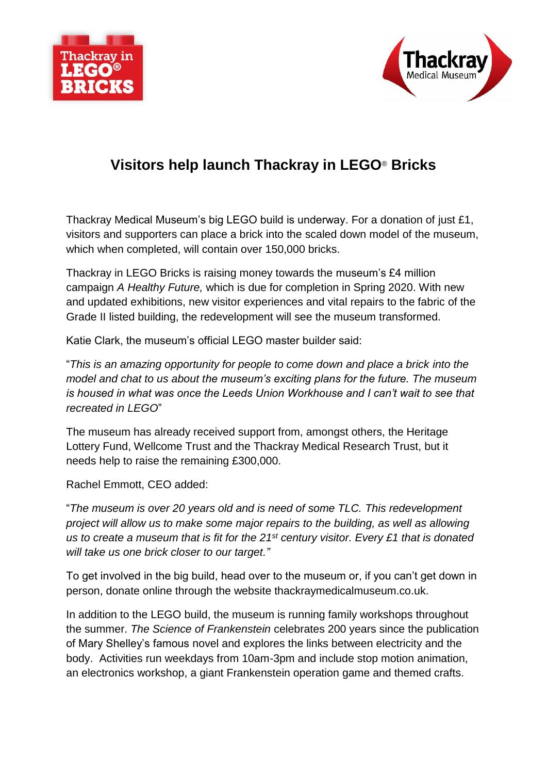



## **Visitors help launch Thackray in LEGO**® **Bricks**

Thackray Medical Museum's big LEGO build is underway. For a donation of just £1, visitors and supporters can place a brick into the scaled down model of the museum, which when completed, will contain over 150,000 bricks.

Thackray in LEGO Bricks is raising money towards the museum's £4 million campaign *A Healthy Future,* which is due for completion in Spring 2020. With new and updated exhibitions, new visitor experiences and vital repairs to the fabric of the Grade II listed building, the redevelopment will see the museum transformed.

Katie Clark, the museum's official LEGO master builder said:

"*This is an amazing opportunity for people to come down and place a brick into the model and chat to us about the museum's exciting plans for the future. The museum is housed in what was once the Leeds Union Workhouse and I can't wait to see that recreated in LEGO*"

The museum has already received support from, amongst others, the Heritage Lottery Fund, Wellcome Trust and the Thackray Medical Research Trust, but it needs help to raise the remaining £300,000.

Rachel Emmott, CEO added:

"*The museum is over 20 years old and is need of some TLC. This redevelopment project will allow us to make some major repairs to the building, as well as allowing us to create a museum that is fit for the 21st century visitor. Every £1 that is donated will take us one brick closer to our target."*

To get involved in the big build, head over to the museum or, if you can't get down in person, donate online through the website thackraymedicalmuseum.co.uk.

In addition to the LEGO build, the museum is running family workshops throughout the summer. *The Science of Frankenstein* celebrates 200 years since the publication of Mary Shelley's famous novel and explores the links between electricity and the body. Activities run weekdays from 10am-3pm and include stop motion animation, an electronics workshop, a giant Frankenstein operation game and themed crafts.